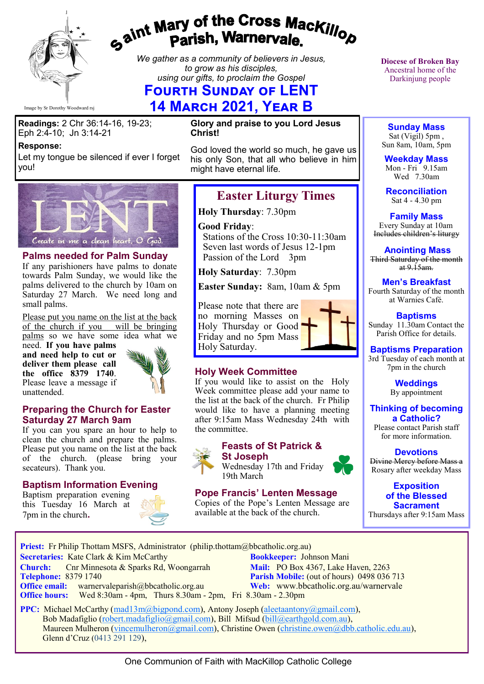

# gaint Mary of the Cross Mackillop<br>Parish, Warnervale.

*We gather as a community of believers in Jesus, to grow as his disciples, using our gifts, to proclaim the Gospel*

# **Fourth Sunday of LENT 14 March 2021, Year B**

**Readings:** 2 Chr 36:14-16, 19-23; Eph 2:4-10; Jn 3:14-21

#### **Response:**

Let my tongue be silenced if ever I forget you!



#### **Palms needed for Palm Sunday**

If any parishioners have palms to donate towards Palm Sunday, we would like the palms delivered to the church by 10am on Saturday 27 March. We need long and small palms.

Please put you name on the list at the back of the church if you will be bringing palms so we have some idea what we

need. **If you have palms and need help to cut or deliver them please call the office 8379 1740**. Please leave a message if unattended.



#### **Preparing the Church for Easter Saturday 27 March 9am**

If you can you spare an hour to help to clean the church and prepare the palms. Please put you name on the list at the back of the church. (please bring your secateurs). Thank you.

#### **Baptism Information Evening**

Baptism preparation evening this Tuesday 16 March at 7pm in the church**.** 

**Glory and praise to you Lord Jesus Christ!**

God loved the world so much, he gave us his only Son, that all who believe in him might have eternal life.

# **Easter Liturgy Times**

**Holy Thursday**: 7.30pm

#### **Good Friday**:

 Stations of the Cross 10:30-11:30am Seven last words of Jesus 12-1pm Passion of the Lord 3pm

**Holy Saturday**: 7.30pm

**Easter Sunday:** 8am, 10am & 5pm

Please note that there are no morning Masses on Holy Thursday or Good Friday and no 5pm Mass Holy Saturday.

## **Holy Week Committee**

If you would like to assist on the Holy Week committee please add your name to the list at the back of the church. Fr Philip would like to have a planning meeting after 9:15am Mass Wednesday 24th with the committee.



#### **Feasts of St Patrick & St Joseph**



Wednesday 17th and Friday 19th March

## **Pope Francis' Lenten Message**

Copies of the Pope's Lenten Message are available at the back of the church.

**Diocese of Broken Bay**  Ancestral home of the Darkinjung people

**Sunday Mass** Sat (Vigil) 5pm , Sun 8am, 10am, 5pm

**Weekday Mass** Mon - Fri  $9.15$ am Wed 7.30am

**Reconciliation** Sat 4 - 4.30 pm

**Family Mass**  Every Sunday at 10am Includes children's liturgy

**Anointing Mass** Third Saturday of the month at  $9.15$ am.

#### **Men's Breakfast**

Fourth Saturday of the month at Warnies Café.

**Baptisms** Sunday 11.30am Contact the Parish Office for details.

## **Baptisms Preparation**

3rd Tuesday of each month at 7pm in the church

> **Weddings**  By appointment

**Thinking of becoming a Catholic?**

Please contact Parish staff for more information.

#### **Devotions** Divine Mercy before Mass a Rosary after weekday Mass

**Exposition of the Blessed Sacrament**

Thursdays after 9:15am Mass

**Priest:** Fr Philip Thottam MSFS, Administrator (philip.thottam@bbcatholic.org.au)

 **Secretaries:** Kate Clark & Kim McCarthy **Bookkeeper:** Johnson Mani

**Church:** Cnr Minnesota & Sparks Rd, Woongarrah **Mail:** PO Box 4367, Lake Haven, 2263<br> **Telephone:** 8379 1740 **Parish Mobile:** (out of hours) 0498 036 **Office email:** warnervaleparish@bbcatholic.org.au **Web:** [www.bbcatholic.org.au/warnervale](https://www.bbcatholic.org.au/warnervale)

**Parish Mobile:** (out of hours) 0498 036 713  **Office hours:** Wed 8:30am - 4pm, Thurs 8.30am - 2pm, Fri 8.30am - 2.30pm

**PPC:** Michael McCarthy ([mad13m@bigpond.com\),](mailto:mad13m@bigpond.com) Antony Joseph ([aleetaantony@gmail.com\)](mailto:aleetaantony@gmail.com), Bob Madafiglio ([robert.madafiglio@gmail.com\),](mailto:robert.madafiglio@gmail.com) Bill Mifsud ([bill@earthgold.com.au\),](mailto:bill@earthgold.com.au) Maureen Mulheron [\(vincemulheron@gmail.com\),](mailto:vincemulheron@gmail.com) Christine Owen (christine.owe[n@dbb.catholic.edu.au\),](mailto:ann.jackson@dbb.catholic.edu.au) Glenn d'Cruz (0413 291 129),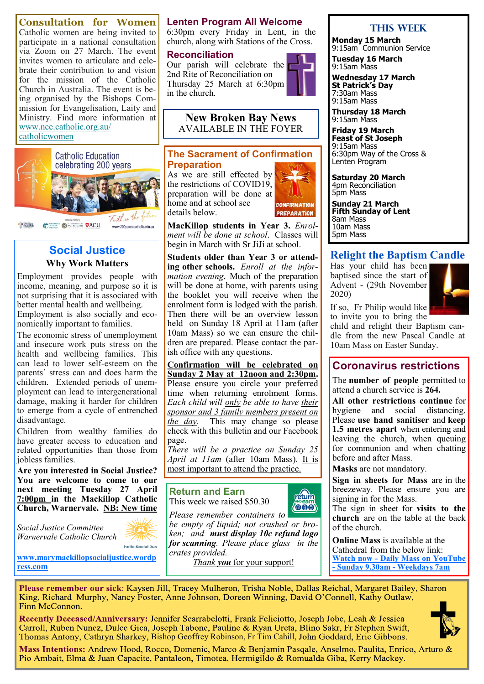**Consultation for Women** Catholic women are being invited to participate in a national consultation via Zoom on 27 March. The event invites women to articulate and celebrate their contribution to and vision for the mission of the Catholic Church in Australia. The event is being organised by the Bishops Commission for Evangelisation, Laity and Ministry. Find more information at [www.nce.catholic.org.au/](https://bbcatholic.us8.list-manage.com/track/click?u=466af249e088db70ab864d088&id=d907c60a60&e=e312df0f80) [catholicwomen](https://bbcatholic.us8.list-manage.com/track/click?u=466af249e088db70ab864d088&id=d907c60a60&e=e312df0f80)



#### E CATHOLIC **DESCRIPTION ON ACU** www.200years.catholic.edu.au

#### **Social Justice Why Work Matters**

Employment provides people with income, meaning, and purpose so it is not surprising that it is associated with better mental health and wellbeing. Employment is also socially and economically important to families.

The economic stress of unemployment and insecure work puts stress on the health and wellbeing families. This can lead to lower self-esteem on the parents' stress can and does harm the children. Extended periods of unemployment can lead to intergenerational damage, making it harder for children to emerge from a cycle of entrenched disadvantage.

Children from wealthy families do have greater access to education and related opportunities than those from jobless families.

**Are you interested in Social Justice? You are welcome to come to our next meeting Tuesday 27 April 7:00pm in the Mackillop Catholic Church, Warnervale. NB: New time**

*Social Justice Committee Warnervale Catholic Church* 



**[www.marymackillopsocialjustice.wordp](http://www.marymackillopsocialjustice.wordpress.com) ress[.com](http://www.marymackillopsocialjustice.wordpress.com)**

#### **Lenten Program All Welcome**

6:30pm every Friday in Lent, in the church, along with Stations of the Cross.

#### **Reconciliation**

Our parish will celebrate the 2nd Rite of Reconciliation on Thursday 25 March at 6:30pm in the church.



**New Broken Bay News** AVAILABLE IN THE FOYER

#### **The Sacrament of Confirmation Preparation**

As we are still effected by the restrictions of COVID19, preparation will be done at home and at school see details below.



**MacKillop students in Year 3.** *Enrolment will be done at school*. Classes will begin in March with Sr JiJi at school.

**Students older than Year 3 or attending other schools.** *Enroll at the information evening***.** Much of the preparation will be done at home, with parents using the booklet you will receive when the enrolment form is lodged with the parish. Then there will be an overview lesson held on Sunday 18 April at 11am (after 10am Mass) so we can ensure the children are prepared. Please contact the parish office with any questions.

**Confirmation will be celebrated on Sunday 2 May at 12noon and 2:30pm.**  Please ensure you circle your preferred time when returning enrolment forms. *Each child will only be able to have their sponsor and 3 family members present on the day.* This may change so please check with this bulletin and our Facebook page.

*There will be a practice on Sunday 25 April at 11am* (after 10am Mass). It is most important to attend the practice.

#### **Return and Earn** This week we raised \$50.30



*Please remember containers to be empty of liquid; not crushed or broken; and must display 10c refund logo for scanning. Please place glass in the crates provided.* 

*Thank you* for your support!

#### **This Week**

**Monday 15 March**  9:15am Communion Service

**Tuesday 16 March** 9:15am Mass

**Wednesday 17 March St Patrick's Day** 7:30am Mass 9:15am Mass

**Thursday 18 March** 9:15am Mass

**Friday 19 March Feast of St Joseph** 9:15am Mass 6:30pm Way of the Cross & Lenten Program

**Saturday 20 March** 4pm Reconciliation 5pm Mass

**Sunday 21 March Fifth Sunday of Lent** 8am Mass 10am Mass 5pm Mass

## **Relight the Baptism Candle**

Has your child has been baptised since the start of Advent - (29th November 2020)



If so, Fr Philip would like to invite you to bring the

child and relight their Baptism candle from the new Pascal Candle at 10am Mass on Easter Sunday.

#### **Coronavirus restrictions**

The **number of people** permitted to attend a church service is **264.**

**All other restrictions continue** for hygiene and social distancing. Please **use hand sanitiser** and **keep 1.5 metres apart** when entering and leaving the church, when queuing for communion and when chatting before and after Mass.

**Masks** are not mandatory.

**Sign in sheets for Mass** are in the breezeway. Please ensure you are signing in for the Mass.

The sign in sheet for **visits to the church** are on the table at the back of the church.

**Online Mass** is available at the Cathedral from the below link: **Watch now - [Daily Mass on YouTube](https://www.youtube.com/channel/UCNenwlfI7i14XB9TsVBrLvQ/)  - [Sunday 9.30am](https://www.youtube.com/channel/UCNenwlfI7i14XB9TsVBrLvQ/) - Weekdays 7am**

Please remember our sick: Kaysen Jill, Tracey Mulheron, Trisha Noble, Dallas Reichal, Margaret Bailey, Sharon King, Richard Murphy, Nancy Foster, Anne Johnson, Doreen Winning, David O'Connell, Kathy Outlaw, Finn McConnon.

Recently Deceased/Anniversary: Jennifer Scarrabelotti, Frank Feliciotto, Joseph Jobe, Leah & Jessica Carroll, Ruben Nunez, Dulce Gica, Joseph Tabone, Pauline & Ryan Ureta, Blino Sakr, Fr Stephen Swift, Thomas Antony, Cathryn Sharkey, Bishop Geoffrey Robinson, Fr Tim Cahill, John Goddard, Eric Gibbons.



Mass Intentions: Andrew Hood, Rocco, Domenic, Marco & Benjamin Pasqale, Anselmo, Paulita, Enrico, Arturo & Pio Ambait, Elma & Juan Capacite, Pantaleon, Timotea, Hermigildo & Romualda Giba, Kerry Mackey.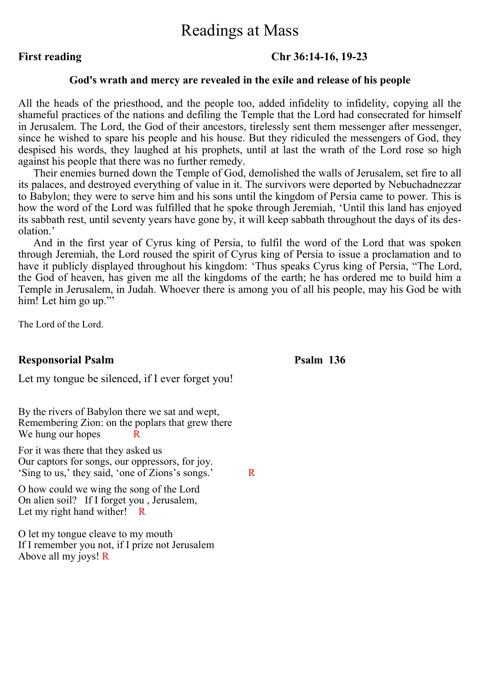# Readings at Mass

#### **First reading Chr 36:14-16, 19-23**

#### **God's wrath and mercy are revealed in the exile and release of his people**

All the heads of the priesthood, and the people too, added infidelity to infidelity, copying all the shameful practices of the nations and defiling the Temple that the Lord had consecrated for himself in Jerusalem. The Lord, the God of their ancestors, tirelessly sent them messenger after messenger, since he wished to spare his people and his house. But they ridiculed the messengers of God, they despised his words, they laughed at his prophets, until at last the wrath of the Lord rose so high against his people that there was no further remedy.

 Their enemies burned down the Temple of God, demolished the walls of Jerusalem, set fire to all its palaces, and destroyed everything of value in it. The survivors were deported by Nebuchadnezzar to Babylon; they were to serve him and his sons until the kingdom of Persia came to power. This is how the word of the Lord was fulfilled that he spoke through Jeremiah, 'Until this land has enjoyed its sabbath rest, until seventy years have gone by, it will keep sabbath throughout the days of its desolation.'

 And in the first year of Cyrus king of Persia, to fulfil the word of the Lord that was spoken through Jeremiah, the Lord roused the spirit of Cyrus king of Persia to issue a proclamation and to have it publicly displayed throughout his kingdom: 'Thus speaks Cyrus king of Persia, "The Lord, the God of heaven, has given me all the kingdoms of the earth; he has ordered me to build him a Temple in Jerusalem, in Judah. Whoever there is among you of all his people, may his God be with him! Let him go up."

The Lord of the Lord.

#### **Responsorial Psalm Psalm 136**

Let my tongue be silenced, if I ever forget you!

By the rivers of Babylon there we sat and wept, Remembering Zion: on the poplars that grew there We hung our hopes

For it was there that they asked us Our captors for songs, our oppressors, for joy. 'Sing to us,' they said, 'one of Zions's songs.'

O how could we wing the song of the Lord On alien soil? If I forget you , Jerusalem, Let my right hand wither! R

O let my tongue cleave to my mouth If I remember you not, if I prize not Jerusalem Above all my joys! R